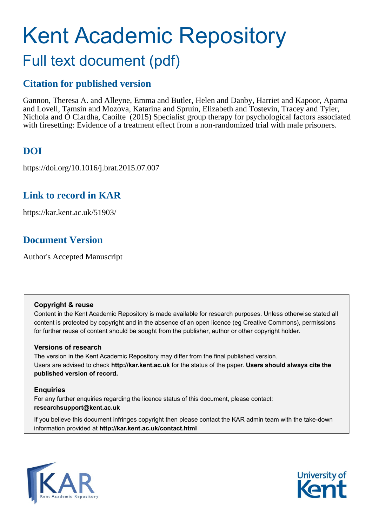# Kent Academic Repository Full text document (pdf)

# **Citation for published version**

Gannon, Theresa A. and Alleyne, Emma and Butler, Helen and Danby, Harriet and Kapoor, Aparna and Lovell, Tamsin and Mozova, Katarina and Spruin, Elizabeth and Tostevin, Tracey and Tyler, Nichola and Ó Ciardha, Caoilte (2015) Specialist group therapy for psychological factors associated with firesetting: Evidence of a treatment effect from a non-randomized trial with male prisoners.

# **DOI**

https://doi.org/10.1016/j.brat.2015.07.007

# **Link to record in KAR**

https://kar.kent.ac.uk/51903/

# **Document Version**

Author's Accepted Manuscript

# **Copyright & reuse**

Content in the Kent Academic Repository is made available for research purposes. Unless otherwise stated all content is protected by copyright and in the absence of an open licence (eg Creative Commons), permissions for further reuse of content should be sought from the publisher, author or other copyright holder.

# **Versions of research**

The version in the Kent Academic Repository may differ from the final published version. Users are advised to check **http://kar.kent.ac.uk** for the status of the paper. **Users should always cite the published version of record.**

# **Enquiries**

For any further enquiries regarding the licence status of this document, please contact: **researchsupport@kent.ac.uk**

If you believe this document infringes copyright then please contact the KAR admin team with the take-down information provided at **http://kar.kent.ac.uk/contact.html**



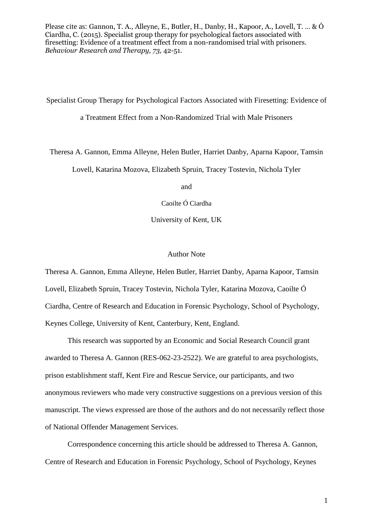Please cite as: Gannon, T. A., Alleyne, E., Butler, H., Danby, H., Kapoor, A., Lovell, T. … & Ó Ciardha, C. (2015). Specialist group therapy for psychological factors associated with firesetting: Evidence of a treatment effect from a non-randomised trial with prisoners. *Behaviour Research and Therapy, 73,* 42-51.

Specialist Group Therapy for Psychological Factors Associated with Firesetting: Evidence of a Treatment Effect from a Non-Randomized Trial with Male Prisoners

Theresa A. Gannon, Emma Alleyne, Helen Butler, Harriet Danby, Aparna Kapoor, Tamsin

Lovell, Katarina Mozova, Elizabeth Spruin, Tracey Tostevin, Nichola Tyler

and

Caoilte Ó Ciardha

University of Kent, UK

#### Author Note

Theresa A. Gannon, Emma Alleyne, Helen Butler, Harriet Danby, Aparna Kapoor, Tamsin Lovell, Elizabeth Spruin, Tracey Tostevin, Nichola Tyler, Katarina Mozova, Caoilte Ó Ciardha, Centre of Research and Education in Forensic Psychology, School of Psychology, Keynes College, University of Kent, Canterbury, Kent, England.

This research was supported by an Economic and Social Research Council grant awarded to Theresa A. Gannon (RES-062-23-2522). We are grateful to area psychologists, prison establishment staff, Kent Fire and Rescue Service, our participants, and two anonymous reviewers who made very constructive suggestions on a previous version of this manuscript. The views expressed are those of the authors and do not necessarily reflect those of National Offender Management Services.

Correspondence concerning this article should be addressed to Theresa A. Gannon, Centre of Research and Education in Forensic Psychology, School of Psychology, Keynes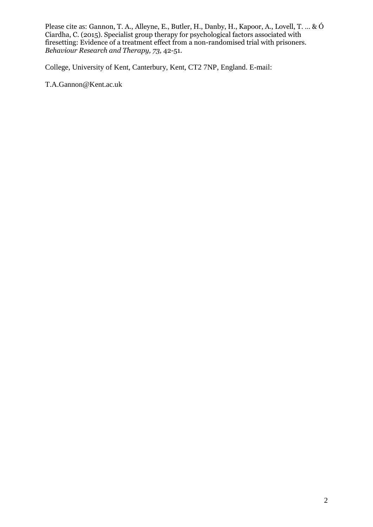Please cite as: Gannon, T. A., Alleyne, E., Butler, H., Danby, H., Kapoor, A., Lovell, T. … & Ó Ciardha, C. (2015). Specialist group therapy for psychological factors associated with firesetting: Evidence of a treatment effect from a non-randomised trial with prisoners. *Behaviour Research and Therapy, 73,* 42-51.

College, University of Kent, Canterbury, Kent, CT2 7NP, England. E-mail:

T.A.Gannon@Kent.ac.uk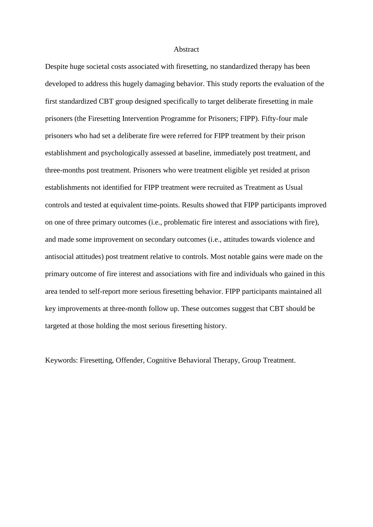#### Abstract

Despite huge societal costs associated with firesetting, no standardized therapy has been developed to address this hugely damaging behavior. This study reports the evaluation of the first standardized CBT group designed specifically to target deliberate firesetting in male prisoners (the Firesetting Intervention Programme for Prisoners; FIPP). Fifty-four male prisoners who had set a deliberate fire were referred for FIPP treatment by their prison establishment and psychologically assessed at baseline, immediately post treatment, and three-months post treatment. Prisoners who were treatment eligible yet resided at prison establishments not identified for FIPP treatment were recruited as Treatment as Usual controls and tested at equivalent time-points. Results showed that FIPP participants improved on one of three primary outcomes (i.e., problematic fire interest and associations with fire), and made some improvement on secondary outcomes (i.e., attitudes towards violence and antisocial attitudes) post treatment relative to controls. Most notable gains were made on the primary outcome of fire interest and associations with fire and individuals who gained in this area tended to self-report more serious firesetting behavior. FIPP participants maintained all key improvements at three-month follow up. These outcomes suggest that CBT should be targeted at those holding the most serious firesetting history.

Keywords: Firesetting, Offender, Cognitive Behavioral Therapy, Group Treatment.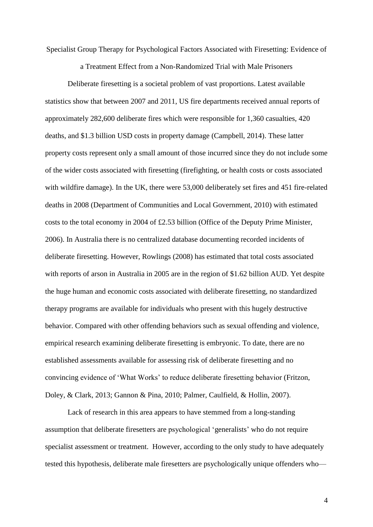Specialist Group Therapy for Psychological Factors Associated with Firesetting: Evidence of

a Treatment Effect from a Non-Randomized Trial with Male Prisoners

 Deliberate firesetting is a societal problem of vast proportions. Latest available statistics show that between 2007 and 2011, US fire departments received annual reports of approximately 282,600 deliberate fires which were responsible for 1,360 casualties, 420 deaths, and \$1.3 billion USD costs in property damage (Campbell, 2014). These latter property costs represent only a small amount of those incurred since they do not include some of the wider costs associated with firesetting (firefighting, or health costs or costs associated with wildfire damage). In the UK, there were 53,000 deliberately set fires and 451 fire-related deaths in 2008 (Department of Communities and Local Government, 2010) with estimated costs to the total economy in 2004 of £2.53 billion (Office of the Deputy Prime Minister, 2006). In Australia there is no centralized database documenting recorded incidents of deliberate firesetting. However, Rowlings (2008) has estimated that total costs associated with reports of arson in Australia in 2005 are in the region of \$1.62 billion AUD. Yet despite the huge human and economic costs associated with deliberate firesetting, no standardized therapy programs are available for individuals who present with this hugely destructive behavior. Compared with other offending behaviors such as sexual offending and violence, empirical research examining deliberate firesetting is embryonic. To date, there are no established assessments available for assessing risk of deliberate firesetting and no convincing evidence of 'What Works' to reduce deliberate firesetting behavior (Fritzon, Doley, & Clark, 2013; Gannon & Pina, 2010; Palmer, Caulfield, & Hollin, 2007).

 Lack of research in this area appears to have stemmed from a long-standing assumption that deliberate firesetters are psychological 'generalists' who do not require specialist assessment or treatment. However, according to the only study to have adequately tested this hypothesis, deliberate male firesetters are psychologically unique offenders who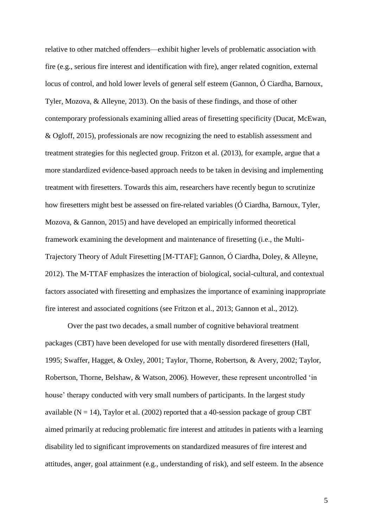relative to other matched offenders—exhibit higher levels of problematic association with fire (e.g., serious fire interest and identification with fire), anger related cognition, external locus of control, and hold lower levels of general self esteem (Gannon, Ó Ciardha, Barnoux, Tyler, Mozova, & Alleyne, 2013). On the basis of these findings, and those of other contemporary professionals examining allied areas of firesetting specificity (Ducat, McEwan, & Ogloff, 2015), professionals are now recognizing the need to establish assessment and treatment strategies for this neglected group. Fritzon et al. (2013), for example, argue that a more standardized evidence-based approach needs to be taken in devising and implementing treatment with firesetters. Towards this aim, researchers have recently begun to scrutinize how firesetters might best be assessed on fire-related variables (Ó Ciardha, Barnoux, Tyler, Mozova, & Gannon, 2015) and have developed an empirically informed theoretical framework examining the development and maintenance of firesetting (i.e., the Multi-Trajectory Theory of Adult Firesetting [M-TTAF]; Gannon, Ó Ciardha, Doley, & Alleyne, 2012). The M-TTAF emphasizes the interaction of biological, social-cultural, and contextual factors associated with firesetting and emphasizes the importance of examining inappropriate fire interest and associated cognitions (see Fritzon et al., 2013; Gannon et al., 2012).

 Over the past two decades, a small number of cognitive behavioral treatment packages (CBT) have been developed for use with mentally disordered firesetters (Hall, 1995; Swaffer, Hagget, & Oxley, 2001; Taylor, Thorne, Robertson, & Avery, 2002; Taylor, Robertson, Thorne, Belshaw, & Watson, 2006). However, these represent uncontrolled 'in house' therapy conducted with very small numbers of participants. In the largest study available ( $N = 14$ ), Taylor et al. (2002) reported that a 40-session package of group CBT aimed primarily at reducing problematic fire interest and attitudes in patients with a learning disability led to significant improvements on standardized measures of fire interest and attitudes, anger, goal attainment (e.g., understanding of risk), and self esteem. In the absence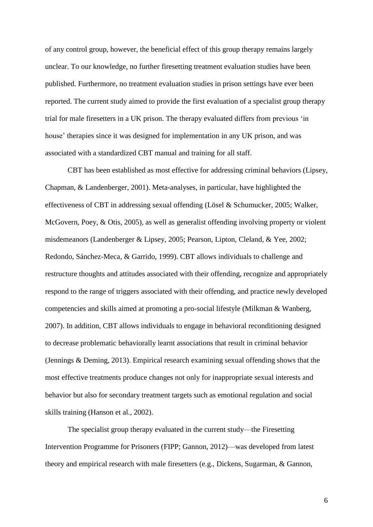of any control group, however, the beneficial effect of this group therapy remains largely unclear. To our knowledge, no further firesetting treatment evaluation studies have been published. Furthermore, no treatment evaluation studies in prison settings have ever been reported. The current study aimed to provide the first evaluation of a specialist group therapy trial for male firesetters in a UK prison. The therapy evaluated differs from previous 'in house' therapies since it was designed for implementation in any UK prison, and was associated with a standardized CBT manual and training for all staff.

 CBT has been established as most effective for addressing criminal behaviors (Lipsey, Chapman, & Landenberger, 2001). Meta-analyses, in particular, have highlighted the effectiveness of CBT in addressing sexual offending (Lösel & Schumucker, 2005; Walker, McGovern, Poey, & Otis, 2005), as well as generalist offending involving property or violent misdemeanors (Landenberger & Lipsey, 2005; Pearson, Lipton, Cleland, & Yee, 2002; Redondo, Sánchez-Meca, & Garrido, 1999). CBT allows individuals to challenge and restructure thoughts and attitudes associated with their offending, recognize and appropriately respond to the range of triggers associated with their offending, and practice newly developed competencies and skills aimed at promoting a pro-social lifestyle (Milkman & Wanberg, 2007). In addition, CBT allows individuals to engage in behavioral reconditioning designed to decrease problematic behaviorally learnt associations that result in criminal behavior (Jennings & Deming, 2013). Empirical research examining sexual offending shows that the most effective treatments produce changes not only for inappropriate sexual interests and behavior but also for secondary treatment targets such as emotional regulation and social skills training (Hanson et al., 2002).

The specialist group therapy evaluated in the current study—the Firesetting Intervention Programme for Prisoners (FIPP; Gannon, 2012)—was developed from latest theory and empirical research with male firesetters (e.g., Dickens, Sugarman, & Gannon,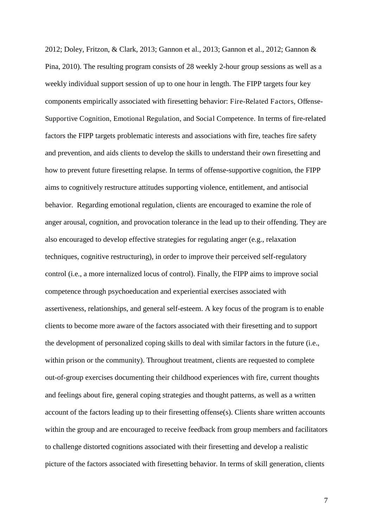2012; Doley, Fritzon, & Clark, 2013; Gannon et al., 2013; Gannon et al., 2012; Gannon & Pina, 2010). The resulting program consists of 28 weekly 2-hour group sessions as well as a weekly individual support session of up to one hour in length. The FIPP targets four key components empirically associated with firesetting behavior: Fire-Related Factors, Offense-Supportive Cognition, Emotional Regulation, and Social Competence. In terms of fire-related factors the FIPP targets problematic interests and associations with fire, teaches fire safety and prevention, and aids clients to develop the skills to understand their own firesetting and how to prevent future firesetting relapse. In terms of offense-supportive cognition, the FIPP aims to cognitively restructure attitudes supporting violence, entitlement, and antisocial behavior. Regarding emotional regulation, clients are encouraged to examine the role of anger arousal, cognition, and provocation tolerance in the lead up to their offending. They are also encouraged to develop effective strategies for regulating anger (e.g., relaxation techniques, cognitive restructuring), in order to improve their perceived self-regulatory control (i.e., a more internalized locus of control). Finally, the FIPP aims to improve social competence through psychoeducation and experiential exercises associated with assertiveness, relationships, and general self-esteem. A key focus of the program is to enable clients to become more aware of the factors associated with their firesetting and to support the development of personalized coping skills to deal with similar factors in the future (i.e., within prison or the community). Throughout treatment, clients are requested to complete out-of-group exercises documenting their childhood experiences with fire, current thoughts and feelings about fire, general coping strategies and thought patterns, as well as a written account of the factors leading up to their firesetting offense(s). Clients share written accounts within the group and are encouraged to receive feedback from group members and facilitators to challenge distorted cognitions associated with their firesetting and develop a realistic picture of the factors associated with firesetting behavior. In terms of skill generation, clients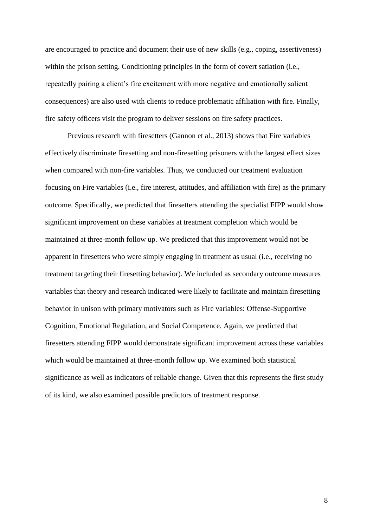are encouraged to practice and document their use of new skills (e.g., coping, assertiveness) within the prison setting. Conditioning principles in the form of covert satiation (i.e., repeatedly pairing a client's fire excitement with more negative and emotionally salient consequences) are also used with clients to reduce problematic affiliation with fire. Finally, fire safety officers visit the program to deliver sessions on fire safety practices.

Previous research with firesetters (Gannon et al., 2013) shows that Fire variables effectively discriminate firesetting and non-firesetting prisoners with the largest effect sizes when compared with non-fire variables. Thus, we conducted our treatment evaluation focusing on Fire variables (i.e., fire interest, attitudes, and affiliation with fire) as the primary outcome. Specifically, we predicted that firesetters attending the specialist FIPP would show significant improvement on these variables at treatment completion which would be maintained at three-month follow up. We predicted that this improvement would not be apparent in firesetters who were simply engaging in treatment as usual (i.e., receiving no treatment targeting their firesetting behavior). We included as secondary outcome measures variables that theory and research indicated were likely to facilitate and maintain firesetting behavior in unison with primary motivators such as Fire variables: Offense-Supportive Cognition, Emotional Regulation, and Social Competence. Again, we predicted that firesetters attending FIPP would demonstrate significant improvement across these variables which would be maintained at three-month follow up. We examined both statistical significance as well as indicators of reliable change. Given that this represents the first study of its kind, we also examined possible predictors of treatment response.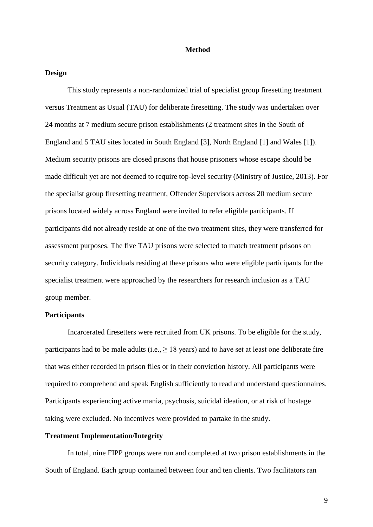#### **Method**

### **Design**

This study represents a non-randomized trial of specialist group firesetting treatment versus Treatment as Usual (TAU) for deliberate firesetting. The study was undertaken over 24 months at 7 medium secure prison establishments (2 treatment sites in the South of England and 5 TAU sites located in South England [3], North England [1] and Wales [1]). Medium security prisons are closed prisons that house prisoners whose escape should be made difficult yet are not deemed to require top-level security (Ministry of Justice, 2013). For the specialist group firesetting treatment, Offender Supervisors across 20 medium secure prisons located widely across England were invited to refer eligible participants. If participants did not already reside at one of the two treatment sites, they were transferred for assessment purposes. The five TAU prisons were selected to match treatment prisons on security category. Individuals residing at these prisons who were eligible participants for the specialist treatment were approached by the researchers for research inclusion as a TAU group member.

#### **Participants**

Incarcerated firesetters were recruited from UK prisons. To be eligible for the study, participants had to be male adults (i.e.,  $\geq 18$  years) and to have set at least one deliberate fire that was either recorded in prison files or in their conviction history. All participants were required to comprehend and speak English sufficiently to read and understand questionnaires. Participants experiencing active mania, psychosis, suicidal ideation, or at risk of hostage taking were excluded. No incentives were provided to partake in the study.

#### **Treatment Implementation/Integrity**

In total, nine FIPP groups were run and completed at two prison establishments in the South of England. Each group contained between four and ten clients. Two facilitators ran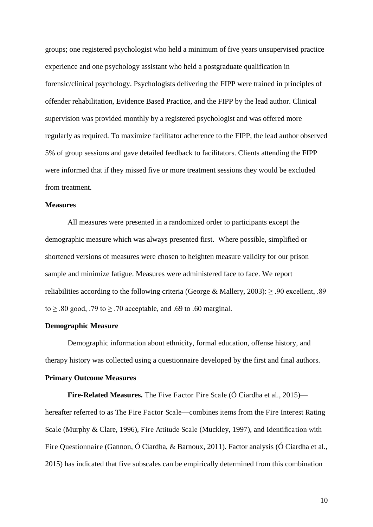groups; one registered psychologist who held a minimum of five years unsupervised practice experience and one psychology assistant who held a postgraduate qualification in forensic/clinical psychology. Psychologists delivering the FIPP were trained in principles of offender rehabilitation, Evidence Based Practice, and the FIPP by the lead author. Clinical supervision was provided monthly by a registered psychologist and was offered more regularly as required. To maximize facilitator adherence to the FIPP, the lead author observed 5% of group sessions and gave detailed feedback to facilitators. Clients attending the FIPP were informed that if they missed five or more treatment sessions they would be excluded from treatment.

## **Measures**

All measures were presented in a randomized order to participants except the demographic measure which was always presented first. Where possible, simplified or shortened versions of measures were chosen to heighten measure validity for our prison sample and minimize fatigue. Measures were administered face to face. We report reliabilities according to the following criteria (George & Mallery, 2003): ≥ .90 excellent, .89 to  $\geq$  .80 good, .79 to  $\geq$  .70 acceptable, and .69 to .60 marginal.

### **Demographic Measure**

Demographic information about ethnicity, formal education, offense history, and therapy history was collected using a questionnaire developed by the first and final authors.

#### **Primary Outcome Measures**

**Fire-Related Measures.** The Five Factor Fire Scale (Ó Ciardha et al., 2015) hereafter referred to as The Fire Factor Scale—combines items from the Fire Interest Rating Scale (Murphy & Clare, 1996), Fire Attitude Scale (Muckley, 1997), and Identification with Fire Questionnaire (Gannon, Ó Ciardha, & Barnoux, 2011). Factor analysis (Ó Ciardha et al., 2015) has indicated that five subscales can be empirically determined from this combination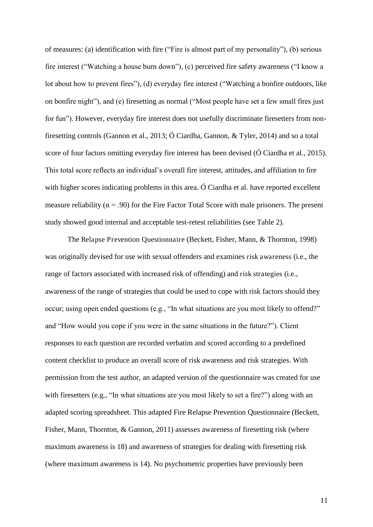of measures: (a) identification with fire ("Fire is almost part of my personality"), (b) serious fire interest ("Watching a house burn down"), (c) perceived fire safety awareness ("I know a lot about how to prevent fires"), (d) everyday fire interest ("Watching a bonfire outdoors, like on bonfire night"), and (e) firesetting as normal ("Most people have set a few small fires just for fun"). However, everyday fire interest does not usefully discriminate firesetters from nonfiresetting controls (Gannon et al., 2013; Ó Ciardha, Gannon, & Tyler, 2014) and so a total score of four factors omitting everyday fire interest has been devised (Ó Ciardha et al., 2015). This total score reflects an individual's overall fire interest, attitudes, and affiliation to fire with higher scores indicating problems in this area. Ó Ciardha et al. have reported excellent measure reliability ( $\alpha$  = .90) for the Fire Factor Total Score with male prisoners. The present study showed good internal and acceptable test-retest reliabilities (see Table 2).

The Relapse Prevention Questionnaire (Beckett, Fisher, Mann, & Thornton, 1998) was originally devised for use with sexual offenders and examines risk awareness (i.e., the range of factors associated with increased risk of offending) and risk strategies (i.e., awareness of the range of strategies that could be used to cope with risk factors should they occur; using open ended questions (e.g., "In what situations are you most likely to offend?" and "How would you cope if you were in the same situations in the future?"). Client responses to each question are recorded verbatim and scored according to a predefined content checklist to produce an overall score of risk awareness and risk strategies. With permission from the test author, an adapted version of the questionnaire was created for use with firesetters (e.g., "In what situations are you most likely to set a fire?") along with an adapted scoring spreadsheet. This adapted Fire Relapse Prevention Questionnaire (Beckett, Fisher, Mann, Thornton, & Gannon, 2011) assesses awareness of firesetting risk (where maximum awareness is 18) and awareness of strategies for dealing with firesetting risk (where maximum awareness is 14). No psychometric properties have previously been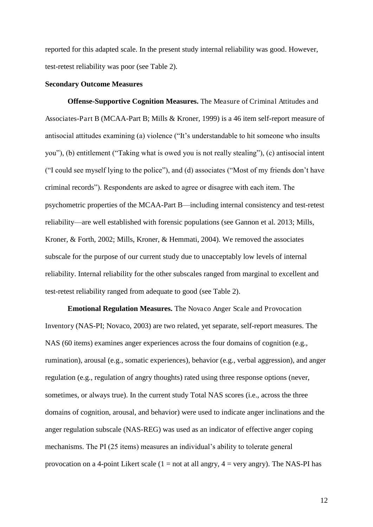reported for this adapted scale. In the present study internal reliability was good. However, test-retest reliability was poor (see Table 2).

#### **Secondary Outcome Measures**

**Offense-Supportive Cognition Measures.** The Measure of Criminal Attitudes and Associates-Part B (MCAA-Part B; Mills & Kroner, 1999) is a 46 item self-report measure of antisocial attitudes examining (a) violence ("It's understandable to hit someone who insults you"), (b) entitlement ("Taking what is owed you is not really stealing"), (c) antisocial intent ("I could see myself lying to the police"), and (d) associates ("Most of my friends don't have criminal records"). Respondents are asked to agree or disagree with each item. The psychometric properties of the MCAA-Part B—including internal consistency and test-retest reliability—are well established with forensic populations (see Gannon et al. 2013; Mills, Kroner, & Forth, 2002; Mills, Kroner, & Hemmati, 2004). We removed the associates subscale for the purpose of our current study due to unacceptably low levels of internal reliability. Internal reliability for the other subscales ranged from marginal to excellent and test-retest reliability ranged from adequate to good (see Table 2).

**Emotional Regulation Measures.** The Novaco Anger Scale and Provocation Inventory (NAS-PI; Novaco, 2003) are two related, yet separate, self-report measures. The NAS (60 items) examines anger experiences across the four domains of cognition (e.g., rumination), arousal (e.g., somatic experiences), behavior (e.g., verbal aggression), and anger regulation (e.g., regulation of angry thoughts) rated using three response options (never, sometimes, or always true). In the current study Total NAS scores (i.e., across the three domains of cognition, arousal, and behavior) were used to indicate anger inclinations and the anger regulation subscale (NAS-REG) was used as an indicator of effective anger coping mechanisms. The PI (25 items) measures an individual's ability to tolerate general provocation on a 4-point Likert scale  $(1 = not at all angry, 4 = very angry)$ . The NAS-PI has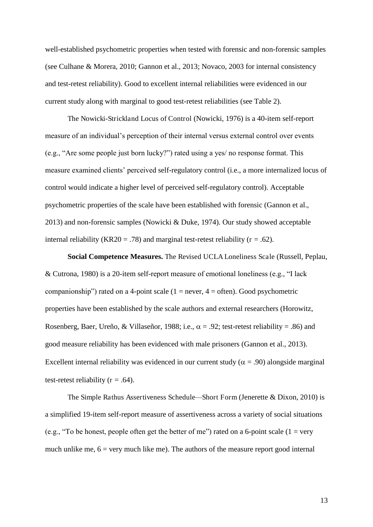well-established psychometric properties when tested with forensic and non-forensic samples (see Culhane & Morera, 2010; Gannon et al., 2013; Novaco, 2003 for internal consistency and test-retest reliability). Good to excellent internal reliabilities were evidenced in our current study along with marginal to good test-retest reliabilities (see Table 2).

The Nowicki-Strickland Locus of Control (Nowicki, 1976) is a 40-item self-report measure of an individual's perception of their internal versus external control over events (e.g., "Are some people just born lucky?") rated using a yes/ no response format. This measure examined clients' perceived self-regulatory control (i.e., a more internalized locus of control would indicate a higher level of perceived self-regulatory control). Acceptable psychometric properties of the scale have been established with forensic (Gannon et al., 2013) and non-forensic samples (Nowicki & Duke, 1974). Our study showed acceptable internal reliability (KR20 = .78) and marginal test-retest reliability ( $r = .62$ ).

**Social Competence Measures.** The Revised UCLA Loneliness Scale (Russell, Peplau, & Cutrona, 1980) is a 20-item self-report measure of emotional loneliness (e.g., "I lack companionship") rated on a 4-point scale  $(1 = never, 4 = often)$ . Good psychometric properties have been established by the scale authors and external researchers (Horowitz, Rosenberg, Baer, Ureño, & Villaseñor, 1988; i.e.,  $\alpha = .92$ ; test-retest reliability = .86) and good measure reliability has been evidenced with male prisoners (Gannon et al., 2013). Excellent internal reliability was evidenced in our current study ( $\alpha$  = .90) alongside marginal test-retest reliability ( $r = .64$ ).

The Simple Rathus Assertiveness Schedule*—*Short Form (Jenerette & Dixon, 2010) is a simplified 19-item self-report measure of assertiveness across a variety of social situations (e.g., "To be honest, people often get the better of me") rated on a 6-point scale (1 = very much unlike me,  $6 = \text{very much like me}$ . The authors of the measure report good internal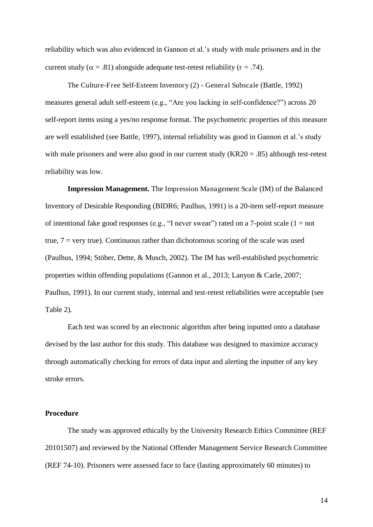reliability which was also evidenced in Gannon et al.'s study with male prisoners and in the current study ( $\alpha = .81$ ) alongside adequate test-retest reliability ( $r = .74$ ).

The Culture-Free Self-Esteem Inventory (2) - General Subscale (Battle, 1992) measures general adult self-esteem (e.g., "Are you lacking in self-confidence?") across 20 self-report items using a yes/no response format. The psychometric properties of this measure are well established (see Battle, 1997), internal reliability was good in Gannon et al.'s study with male prisoners and were also good in our current study (KR20 = .85) although test-retest reliability was low.

**Impression Management.** The Impression Management Scale (IM) of the Balanced Inventory of Desirable Responding (BIDR6; Paulhus, 1991) is a 20-item self-report measure of intentional fake good responses (e.g., "I never swear") rated on a 7-point scale ( $1 = not$ ) true,  $7 = \text{very true}$ ). Continuous rather than dichotomous scoring of the scale was used (Paulhus, 1994; Stöber, Dette, & Musch, 2002). The IM has well-established psychometric properties within offending populations (Gannon et al., 2013; Lanyon & Carle, 2007; Paulhus, 1991). In our current study, internal and test-retest reliabilities were acceptable (see Table 2).

Each test was scored by an electronic algorithm after being inputted onto a database devised by the last author for this study. This database was designed to maximize accuracy through automatically checking for errors of data input and alerting the inputter of any key stroke errors.

#### **Procedure**

The study was approved ethically by the University Research Ethics Committee (REF 20101507) and reviewed by the National Offender Management Service Research Committee (REF 74-10). Prisoners were assessed face to face (lasting approximately 60 minutes) to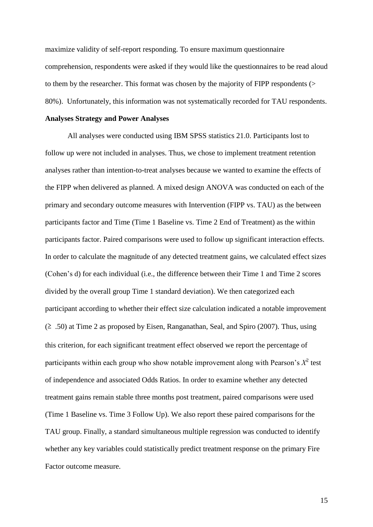maximize validity of self-report responding. To ensure maximum questionnaire comprehension, respondents were asked if they would like the questionnaires to be read aloud to them by the researcher. This format was chosen by the majority of FIPP respondents (> 80%). Unfortunately, this information was not systematically recorded for TAU respondents.

#### **Analyses Strategy and Power Analyses**

All analyses were conducted using IBM SPSS statistics 21.0. Participants lost to follow up were not included in analyses. Thus, we chose to implement treatment retention analyses rather than intention-to-treat analyses because we wanted to examine the effects of the FIPP when delivered as planned. A mixed design ANOVA was conducted on each of the primary and secondary outcome measures with Intervention (FIPP vs. TAU) as the between participants factor and Time (Time 1 Baseline vs. Time 2 End of Treatment) as the within participants factor. Paired comparisons were used to follow up significant interaction effects. In order to calculate the magnitude of any detected treatment gains, we calculated effect sizes (Cohen's d) for each individual (i.e., the difference between their Time 1 and Time 2 scores divided by the overall group Time 1 standard deviation). We then categorized each participant according to whether their effect size calculation indicated a notable improvement  $(2, 50)$  at Time 2 as proposed by Eisen, Ranganathan, Seal, and Spiro (2007). Thus, using this criterion, for each significant treatment effect observed we report the percentage of participants within each group who show notable improvement along with Pearson's  $X^2$  test of independence and associated Odds Ratios. In order to examine whether any detected treatment gains remain stable three months post treatment, paired comparisons were used (Time 1 Baseline vs. Time 3 Follow Up). We also report these paired comparisons for the TAU group. Finally, a standard simultaneous multiple regression was conducted to identify whether any key variables could statistically predict treatment response on the primary Fire Factor outcome measure.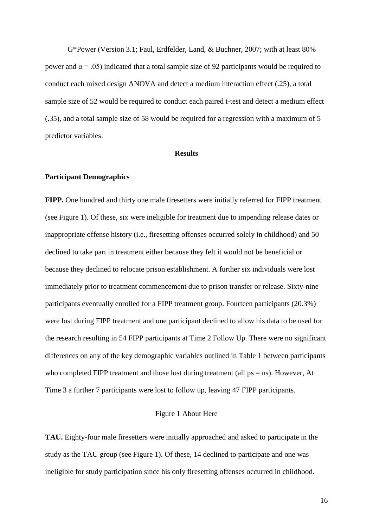G\*Power (Version 3.1; Faul, Erdfelder, Land, & Buchner, 2007; with at least 80% power and  $α = .05$ ) indicated that a total sample size of 92 participants would be required to conduct each mixed design ANOVA and detect a medium interaction effect (.25), a total sample size of 52 would be required to conduct each paired t-test and detect a medium effect (.35), and a total sample size of 58 would be required for a regression with a maximum of 5 predictor variables.

#### **Results**

#### **Participant Demographics**

**FIPP.** One hundred and thirty one male firesetters were initially referred for FIPP treatment (see Figure 1). Of these, six were ineligible for treatment due to impending release dates or inappropriate offense history (i.e., firesetting offenses occurred solely in childhood) and 50 declined to take part in treatment either because they felt it would not be beneficial or because they declined to relocate prison establishment. A further six individuals were lost immediately prior to treatment commencement due to prison transfer or release. Sixty-nine participants eventually enrolled for a FIPP treatment group. Fourteen participants (20.3%) were lost during FIPP treatment and one participant declined to allow his data to be used for the research resulting in 54 FIPP participants at Time 2 Follow Up. There were no significant differences on any of the key demographic variables outlined in Table 1 between participants who completed FIPP treatment and those lost during treatment (all ps = ns). However, At Time 3 a further 7 participants were lost to follow up, leaving 47 FIPP participants.

#### Figure 1 About Here

**TAU.** Eighty-four male firesetters were initially approached and asked to participate in the study as the TAU group (see Figure 1). Of these, 14 declined to participate and one was ineligible for study participation since his only firesetting offenses occurred in childhood.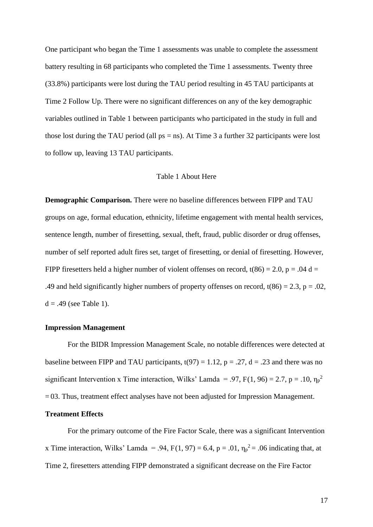One participant who began the Time 1 assessments was unable to complete the assessment battery resulting in 68 participants who completed the Time 1 assessments. Twenty three (33.8%) participants were lost during the TAU period resulting in 45 TAU participants at Time 2 Follow Up. There were no significant differences on any of the key demographic variables outlined in Table 1 between participants who participated in the study in full and those lost during the TAU period (all  $ps = ns$ ). At Time 3 a further 32 participants were lost to follow up, leaving 13 TAU participants.

#### Table 1 About Here

**Demographic Comparison.** There were no baseline differences between FIPP and TAU groups on age, formal education, ethnicity, lifetime engagement with mental health services, sentence length, number of firesetting, sexual, theft, fraud, public disorder or drug offenses, number of self reported adult fires set, target of firesetting, or denial of firesetting. However, FIPP firesetters held a higher number of violent offenses on record,  $t(86) = 2.0$ ,  $p = .04$  d = .49 and held significantly higher numbers of property offenses on record,  $t(86) = 2.3$ , p = .02,  $d = .49$  (see Table 1).

## **Impression Management**

For the BIDR Impression Management Scale, no notable differences were detected at baseline between FIPP and TAU participants,  $t(97) = 1.12$ ,  $p = .27$ ,  $d = .23$  and there was no significant Intervention x Time interaction, Wilks' Lamda = .97, F(1, 96) = 2.7, p = .10,  $\eta_p^2$  $= 03$ . Thus, treatment effect analyses have not been adjusted for Impression Management.

#### **Treatment Effects**

For the primary outcome of the Fire Factor Scale, there was a significant Intervention x Time interaction, Wilks' Lamda = .94,  $F(1, 97) = 6.4$ ,  $p = .01$ ,  $\eta_p^2 = .06$  indicating that, at Time 2, firesetters attending FIPP demonstrated a significant decrease on the Fire Factor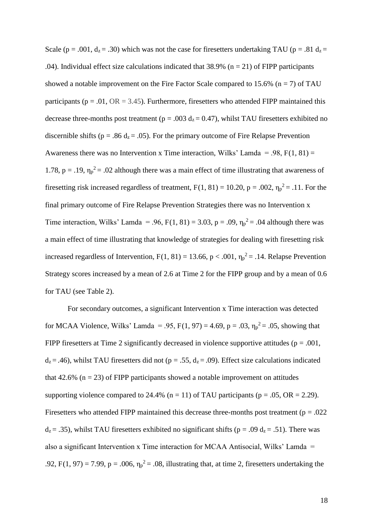Scale (p = .001, d<sub>z</sub> = .30) which was not the case for firesetters undertaking TAU (p = .81 d<sub>z</sub> = .04). Individual effect size calculations indicated that  $38.9\%$  (n = 21) of FIPP participants showed a notable improvement on the Fire Factor Scale compared to 15.6% ( $n = 7$ ) of TAU participants ( $p = .01$ ,  $OR = 3.45$ ). Furthermore, firesetters who attended FIPP maintained this decrease three-months post treatment ( $p = .003$  d<sub>z</sub> = 0.47), whilst TAU firesetters exhibited no discernible shifts ( $p = .86$  d<sub>z</sub> = .05). For the primary outcome of Fire Relapse Prevention Awareness there was no Intervention x Time interaction, Wilks' Lamda = .98,  $F(1, 81)$  = 1.78,  $p = .19$ ,  $\eta_p^2 = .02$  although there was a main effect of time illustrating that awareness of firesetting risk increased regardless of treatment,  $F(1, 81) = 10.20$ ,  $p = .002$ ,  $\eta_p^2 = .11$ . For the final primary outcome of Fire Relapse Prevention Strategies there was no Intervention x Time interaction, Wilks' Lamda = .96, F(1, 81) = 3.03, p = .09,  $\eta_p^2$  = .04 although there was a main effect of time illustrating that knowledge of strategies for dealing with firesetting risk increased regardless of Intervention,  $F(1, 81) = 13.66$ ,  $p < .001$ ,  $\eta_p^2 = .14$ . Relapse Prevention Strategy scores increased by a mean of 2.6 at Time 2 for the FIPP group and by a mean of 0.6 for TAU (see Table 2).

For secondary outcomes, a significant Intervention x Time interaction was detected for MCAA Violence, Wilks' Lamda = .95,  $F(1, 97) = 4.69$ ,  $p = .03$ ,  $\eta_p^2 = .05$ , showing that FIPP firesetters at Time 2 significantly decreased in violence supportive attitudes ( $p = .001$ ,  $d_z = .46$ ), whilst TAU firesetters did not (p = .55,  $d_z = .09$ ). Effect size calculations indicated that 42.6% ( $n = 23$ ) of FIPP participants showed a notable improvement on attitudes supporting violence compared to 24.4% ( $n = 11$ ) of TAU participants ( $p = .05$ , OR = 2.29). Firesetters who attended FIPP maintained this decrease three-months post treatment ( $p = .022$ )  $d_z = .35$ ), whilst TAU firesetters exhibited no significant shifts (p = .09  $d_z = .51$ ). There was also a significant Intervention x Time interaction for MCAA Antisocial, Wilks' Lamda = .92, F(1, 97) = 7.99, p = .006,  $\eta_p^2$  = .08, illustrating that, at time 2, firesetters undertaking the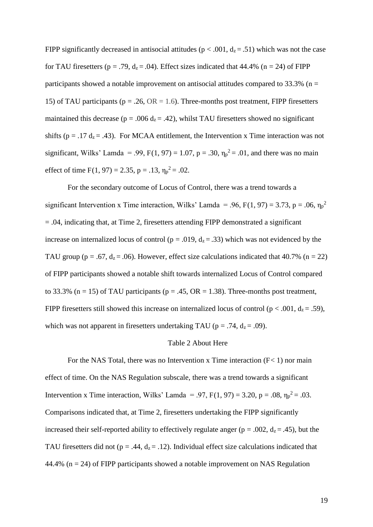FIPP significantly decreased in antisocial attitudes ( $p < .001$ ,  $d<sub>z</sub> = .51$ ) which was not the case for TAU firesetters ( $p = .79$ ,  $d_z = .04$ ). Effect sizes indicated that 44.4% ( $n = 24$ ) of FIPP participants showed a notable improvement on antisocial attitudes compared to  $33.3\%$  (n = 15) of TAU participants ( $p = .26$ ,  $OR = 1.6$ ). Three-months post treatment, FIPP firesetters maintained this decrease ( $p = .006 d_z = .42$ ), whilst TAU firesetters showed no significant shifts ( $p = .17 d_z = .43$ ). For MCAA entitlement, the Intervention x Time interaction was not significant, Wilks' Lamda = .99, F(1, 97) = 1.07, p = .30,  $\eta_p^2$  = .01, and there was no main effect of time  $F(1, 97) = 2.35$ ,  $p = .13$ ,  $\eta_p^2 = .02$ .

For the secondary outcome of Locus of Control, there was a trend towards a significant Intervention x Time interaction, Wilks' Lamda = .96, F(1, 97) = 3.73, p = .06,  $\eta_p^2$ = .04, indicating that, at Time 2, firesetters attending FIPP demonstrated a significant increase on internalized locus of control ( $p = .019$ ,  $d_z = .33$ ) which was not evidenced by the TAU group ( $p = .67$ ,  $d_z = .06$ ). However, effect size calculations indicated that 40.7% ( $n = 22$ ) of FIPP participants showed a notable shift towards internalized Locus of Control compared to 33.3% (n = 15) of TAU participants (p = .45,  $OR = 1.38$ ). Three-months post treatment, FIPP firesetters still showed this increase on internalized locus of control ( $p < .001$ ,  $d_z = .59$ ), which was not apparent in firesetters undertaking TAU ( $p = .74$ ,  $d_z = .09$ ).

#### Table 2 About Here

For the NAS Total, there was no Intervention x Time interaction  $(F< 1)$  nor main effect of time. On the NAS Regulation subscale, there was a trend towards a significant Intervention x Time interaction, Wilks' Lamda = .97,  $F(1, 97) = 3.20$ ,  $p = .08$ ,  $\eta_p^2 = .03$ . Comparisons indicated that, at Time 2, firesetters undertaking the FIPP significantly increased their self-reported ability to effectively regulate anger ( $p = .002$ ,  $d_z = .45$ ), but the TAU firesetters did not ( $p = .44$ ,  $d_z = .12$ ). Individual effect size calculations indicated that 44.4% ( $n = 24$ ) of FIPP participants showed a notable improvement on NAS Regulation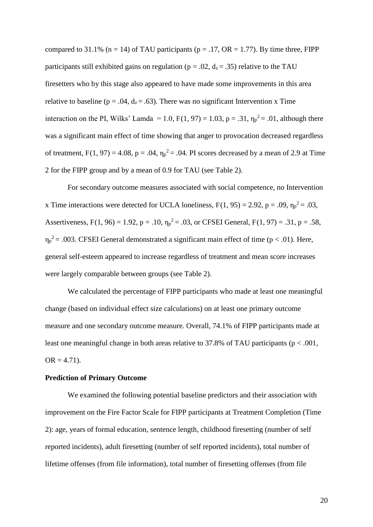compared to 31.1% (n = 14) of TAU participants (p = .17, OR = 1.77). By time three, FIPP participants still exhibited gains on regulation ( $p = .02$ ,  $d_z = .35$ ) relative to the TAU firesetters who by this stage also appeared to have made some improvements in this area relative to baseline ( $p = .04$ ,  $d_z = .63$ ). There was no significant Intervention x Time interaction on the PI, Wilks' Lamda = 1.0,  $F(1, 97) = 1.03$ ,  $p = .31$ ,  $\eta_p^2 = .01$ , although there was a significant main effect of time showing that anger to provocation decreased regardless of treatment,  $F(1, 97) = 4.08$ ,  $p = .04$ ,  $\eta_p^2 = .04$ . PI scores decreased by a mean of 2.9 at Time 2 for the FIPP group and by a mean of 0.9 for TAU (see Table 2).

For secondary outcome measures associated with social competence, no Intervention x Time interactions were detected for UCLA loneliness,  $F(1, 95) = 2.92$ ,  $p = .09$ ,  $\eta_p^2 = .03$ , Assertiveness, F(1, 96) = 1.92, p = .10,  $\eta_p^2 = .03$ , or CFSEI General, F(1, 97) = .31, p = .58,  $\eta_p^2$  = .003. CFSEI General demonstrated a significant main effect of time ( $p < .01$ ). Here, general self-esteem appeared to increase regardless of treatment and mean score increases were largely comparable between groups (see Table 2).

We calculated the percentage of FIPP participants who made at least one meaningful change (based on individual effect size calculations) on at least one primary outcome measure and one secondary outcome measure. Overall, 74.1% of FIPP participants made at least one meaningful change in both areas relative to 37.8% of TAU participants ( $p < .001$ ,  $OR = 4.71$ .

#### **Prediction of Primary Outcome**

We examined the following potential baseline predictors and their association with improvement on the Fire Factor Scale for FIPP participants at Treatment Completion (Time 2): age, years of formal education, sentence length, childhood firesetting (number of self reported incidents), adult firesetting (number of self reported incidents), total number of lifetime offenses (from file information), total number of firesetting offenses (from file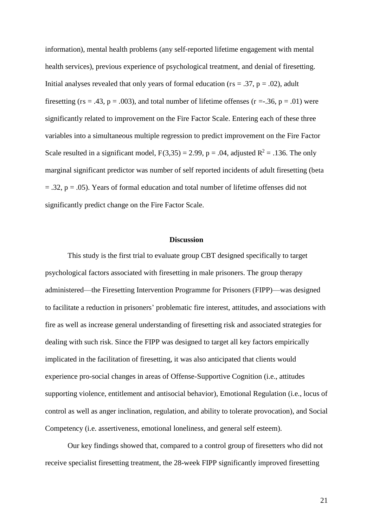information), mental health problems (any self-reported lifetime engagement with mental health services), previous experience of psychological treatment, and denial of firesetting. Initial analyses revealed that only years of formal education ( $rs = .37$ ,  $p = .02$ ), adult firesetting ( $rs = .43$ ,  $p = .003$ ), and total number of lifetime offenses ( $r = .36$ ,  $p = .01$ ) were significantly related to improvement on the Fire Factor Scale. Entering each of these three variables into a simultaneous multiple regression to predict improvement on the Fire Factor Scale resulted in a significant model,  $F(3,35) = 2.99$ ,  $p = .04$ , adjusted  $R^2 = .136$ . The only marginal significant predictor was number of self reported incidents of adult firesetting (beta  $=$  .32,  $p = .05$ ). Years of formal education and total number of lifetime offenses did not significantly predict change on the Fire Factor Scale.

#### **Discussion**

This study is the first trial to evaluate group CBT designed specifically to target psychological factors associated with firesetting in male prisoners. The group therapy administered—the Firesetting Intervention Programme for Prisoners (FIPP)—was designed to facilitate a reduction in prisoners' problematic fire interest, attitudes, and associations with fire as well as increase general understanding of firesetting risk and associated strategies for dealing with such risk. Since the FIPP was designed to target all key factors empirically implicated in the facilitation of firesetting, it was also anticipated that clients would experience pro-social changes in areas of Offense-Supportive Cognition (i.e., attitudes supporting violence, entitlement and antisocial behavior), Emotional Regulation (i.e., locus of control as well as anger inclination, regulation, and ability to tolerate provocation), and Social Competency (i.e. assertiveness, emotional loneliness, and general self esteem).

 Our key findings showed that, compared to a control group of firesetters who did not receive specialist firesetting treatment, the 28-week FIPP significantly improved firesetting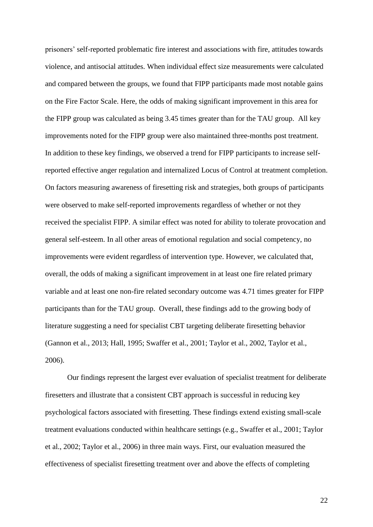prisoners' self-reported problematic fire interest and associations with fire, attitudes towards violence, and antisocial attitudes. When individual effect size measurements were calculated and compared between the groups, we found that FIPP participants made most notable gains on the Fire Factor Scale. Here, the odds of making significant improvement in this area for the FIPP group was calculated as being 3.45 times greater than for the TAU group. All key improvements noted for the FIPP group were also maintained three-months post treatment. In addition to these key findings, we observed a trend for FIPP participants to increase selfreported effective anger regulation and internalized Locus of Control at treatment completion. On factors measuring awareness of firesetting risk and strategies, both groups of participants were observed to make self-reported improvements regardless of whether or not they received the specialist FIPP. A similar effect was noted for ability to tolerate provocation and general self-esteem. In all other areas of emotional regulation and social competency, no improvements were evident regardless of intervention type. However, we calculated that, overall, the odds of making a significant improvement in at least one fire related primary variable and at least one non-fire related secondary outcome was 4.71 times greater for FIPP participants than for the TAU group. Overall, these findings add to the growing body of literature suggesting a need for specialist CBT targeting deliberate firesetting behavior (Gannon et al., 2013; Hall, 1995; Swaffer et al., 2001; Taylor et al., 2002, Taylor et al., 2006).

Our findings represent the largest ever evaluation of specialist treatment for deliberate firesetters and illustrate that a consistent CBT approach is successful in reducing key psychological factors associated with firesetting. These findings extend existing small-scale treatment evaluations conducted within healthcare settings (e.g., Swaffer et al., 2001; Taylor et al., 2002; Taylor et al., 2006) in three main ways. First, our evaluation measured the effectiveness of specialist firesetting treatment over and above the effects of completing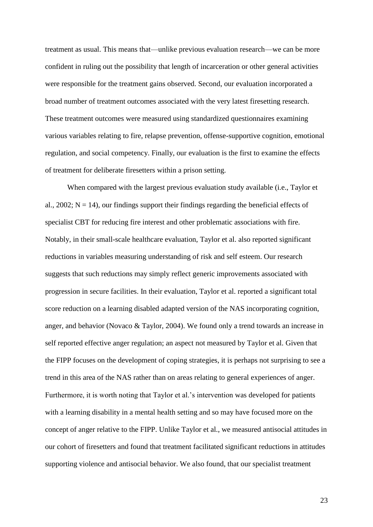treatment as usual. This means that—unlike previous evaluation research—we can be more confident in ruling out the possibility that length of incarceration or other general activities were responsible for the treatment gains observed. Second, our evaluation incorporated a broad number of treatment outcomes associated with the very latest firesetting research. These treatment outcomes were measured using standardized questionnaires examining various variables relating to fire, relapse prevention, offense-supportive cognition, emotional regulation, and social competency. Finally, our evaluation is the first to examine the effects of treatment for deliberate firesetters within a prison setting.

When compared with the largest previous evaluation study available (i.e., Taylor et al.,  $2002$ ;  $N = 14$ ), our findings support their findings regarding the beneficial effects of specialist CBT for reducing fire interest and other problematic associations with fire. Notably, in their small-scale healthcare evaluation, Taylor et al. also reported significant reductions in variables measuring understanding of risk and self esteem. Our research suggests that such reductions may simply reflect generic improvements associated with progression in secure facilities. In their evaluation, Taylor et al. reported a significant total score reduction on a learning disabled adapted version of the NAS incorporating cognition, anger, and behavior (Novaco & Taylor, 2004). We found only a trend towards an increase in self reported effective anger regulation; an aspect not measured by Taylor et al. Given that the FIPP focuses on the development of coping strategies, it is perhaps not surprising to see a trend in this area of the NAS rather than on areas relating to general experiences of anger. Furthermore, it is worth noting that Taylor et al.'s intervention was developed for patients with a learning disability in a mental health setting and so may have focused more on the concept of anger relative to the FIPP. Unlike Taylor et al., we measured antisocial attitudes in our cohort of firesetters and found that treatment facilitated significant reductions in attitudes supporting violence and antisocial behavior. We also found, that our specialist treatment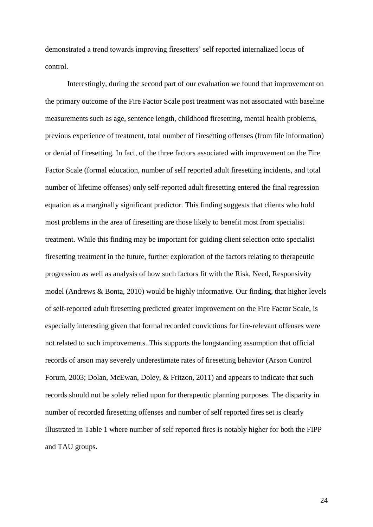demonstrated a trend towards improving firesetters' self reported internalized locus of control.

Interestingly, during the second part of our evaluation we found that improvement on the primary outcome of the Fire Factor Scale post treatment was not associated with baseline measurements such as age, sentence length, childhood firesetting, mental health problems, previous experience of treatment, total number of firesetting offenses (from file information) or denial of firesetting. In fact, of the three factors associated with improvement on the Fire Factor Scale (formal education, number of self reported adult firesetting incidents, and total number of lifetime offenses) only self-reported adult firesetting entered the final regression equation as a marginally significant predictor. This finding suggests that clients who hold most problems in the area of firesetting are those likely to benefit most from specialist treatment. While this finding may be important for guiding client selection onto specialist firesetting treatment in the future, further exploration of the factors relating to therapeutic progression as well as analysis of how such factors fit with the Risk, Need, Responsivity model (Andrews & Bonta, 2010) would be highly informative. Our finding, that higher levels of self-reported adult firesetting predicted greater improvement on the Fire Factor Scale, is especially interesting given that formal recorded convictions for fire-relevant offenses were not related to such improvements. This supports the longstanding assumption that official records of arson may severely underestimate rates of firesetting behavior (Arson Control Forum, 2003; Dolan, McEwan, Doley, & Fritzon, 2011) and appears to indicate that such records should not be solely relied upon for therapeutic planning purposes. The disparity in number of recorded firesetting offenses and number of self reported fires set is clearly illustrated in Table 1 where number of self reported fires is notably higher for both the FIPP and TAU groups.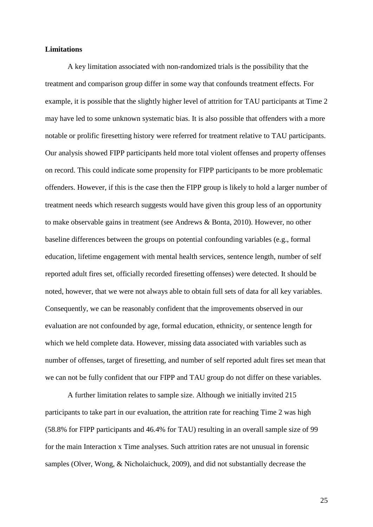#### **Limitations**

 A key limitation associated with non-randomized trials is the possibility that the treatment and comparison group differ in some way that confounds treatment effects. For example, it is possible that the slightly higher level of attrition for TAU participants at Time 2 may have led to some unknown systematic bias. It is also possible that offenders with a more notable or prolific firesetting history were referred for treatment relative to TAU participants. Our analysis showed FIPP participants held more total violent offenses and property offenses on record. This could indicate some propensity for FIPP participants to be more problematic offenders. However, if this is the case then the FIPP group is likely to hold a larger number of treatment needs which research suggests would have given this group less of an opportunity to make observable gains in treatment (see Andrews & Bonta, 2010). However, no other baseline differences between the groups on potential confounding variables (e.g., formal education, lifetime engagement with mental health services, sentence length, number of self reported adult fires set, officially recorded firesetting offenses) were detected. It should be noted, however, that we were not always able to obtain full sets of data for all key variables. Consequently, we can be reasonably confident that the improvements observed in our evaluation are not confounded by age, formal education, ethnicity, or sentence length for which we held complete data. However, missing data associated with variables such as number of offenses, target of firesetting, and number of self reported adult fires set mean that we can not be fully confident that our FIPP and TAU group do not differ on these variables.

 A further limitation relates to sample size. Although we initially invited 215 participants to take part in our evaluation, the attrition rate for reaching Time 2 was high (58.8% for FIPP participants and 46.4% for TAU) resulting in an overall sample size of 99 for the main Interaction x Time analyses. Such attrition rates are not unusual in forensic samples (Olver, Wong, & Nicholaichuck, 2009), and did not substantially decrease the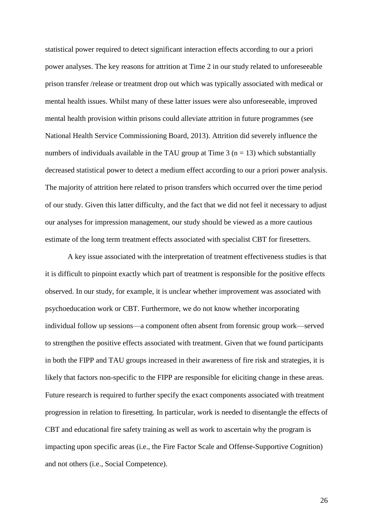statistical power required to detect significant interaction effects according to our a priori power analyses. The key reasons for attrition at Time 2 in our study related to unforeseeable prison transfer /release or treatment drop out which was typically associated with medical or mental health issues. Whilst many of these latter issues were also unforeseeable, improved mental health provision within prisons could alleviate attrition in future programmes (see National Health Service Commissioning Board, 2013). Attrition did severely influence the numbers of individuals available in the TAU group at Time 3 ( $n = 13$ ) which substantially decreased statistical power to detect a medium effect according to our a priori power analysis. The majority of attrition here related to prison transfers which occurred over the time period of our study. Given this latter difficulty, and the fact that we did not feel it necessary to adjust our analyses for impression management, our study should be viewed as a more cautious estimate of the long term treatment effects associated with specialist CBT for firesetters.

A key issue associated with the interpretation of treatment effectiveness studies is that it is difficult to pinpoint exactly which part of treatment is responsible for the positive effects observed. In our study, for example, it is unclear whether improvement was associated with psychoeducation work or CBT. Furthermore, we do not know whether incorporating individual follow up sessions—a component often absent from forensic group work—served to strengthen the positive effects associated with treatment. Given that we found participants in both the FIPP and TAU groups increased in their awareness of fire risk and strategies, it is likely that factors non-specific to the FIPP are responsible for eliciting change in these areas. Future research is required to further specify the exact components associated with treatment progression in relation to firesetting. In particular, work is needed to disentangle the effects of CBT and educational fire safety training as well as work to ascertain why the program is impacting upon specific areas (i.e., the Fire Factor Scale and Offense-Supportive Cognition) and not others (i.e., Social Competence).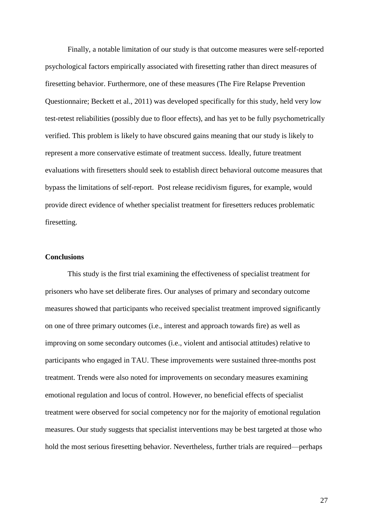Finally, a notable limitation of our study is that outcome measures were self-reported psychological factors empirically associated with firesetting rather than direct measures of firesetting behavior. Furthermore, one of these measures (The Fire Relapse Prevention Questionnaire; Beckett et al., 2011) was developed specifically for this study, held very low test-retest reliabilities (possibly due to floor effects), and has yet to be fully psychometrically verified. This problem is likely to have obscured gains meaning that our study is likely to represent a more conservative estimate of treatment success. Ideally, future treatment evaluations with firesetters should seek to establish direct behavioral outcome measures that bypass the limitations of self-report. Post release recidivism figures, for example, would provide direct evidence of whether specialist treatment for firesetters reduces problematic firesetting.

## **Conclusions**

This study is the first trial examining the effectiveness of specialist treatment for prisoners who have set deliberate fires. Our analyses of primary and secondary outcome measures showed that participants who received specialist treatment improved significantly on one of three primary outcomes (i.e., interest and approach towards fire) as well as improving on some secondary outcomes (i.e., violent and antisocial attitudes) relative to participants who engaged in TAU. These improvements were sustained three-months post treatment. Trends were also noted for improvements on secondary measures examining emotional regulation and locus of control. However, no beneficial effects of specialist treatment were observed for social competency nor for the majority of emotional regulation measures. Our study suggests that specialist interventions may be best targeted at those who hold the most serious firesetting behavior. Nevertheless, further trials are required—perhaps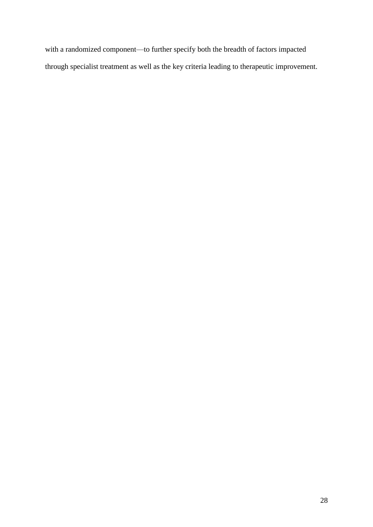with a randomized component—to further specify both the breadth of factors impacted through specialist treatment as well as the key criteria leading to therapeutic improvement.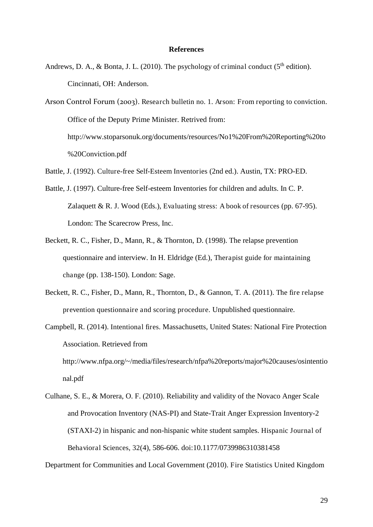#### **References**

Andrews, D. A., & Bonta, J. L. (2010). The psychology of criminal conduct ( $5<sup>th</sup>$  edition). Cincinnati, OH: Anderson.

Arson Control Forum (2003). Research bulletin no. 1. Arson: From reporting to conviction. Office of the Deputy Prime Minister. Retrived from: http://www.stoparsonuk.org/documents/resources/No1%20From%20Reporting%20to %20Conviction.pdf

Battle, J. (1992). Culture-free Self-Esteem Inventories (2nd ed.). Austin, TX: PRO-ED.

- Battle, J. (1997). Culture-free Self-esteem Inventories for children and adults. In C. P. Zalaquett & R. J. Wood (Eds.), Evaluating stress: A book of resources (pp.  $67-95$ ). London: The Scarecrow Press, Inc.
- Beckett, R. C., Fisher, D., Mann, R., & Thornton, D. (1998). The relapse prevention questionnaire and interview. In H. Eldridge (Ed.), Therapist guide for maintaining change (pp. 138-150). London: Sage.
- Beckett, R. C., Fisher, D., Mann, R., Thornton, D., & Gannon, T. A. (2011). The fire relapse prevention questionnaire and scoring procedure. Unpublished questionnaire.
- Campbell, R. (2014). Intentional fires. Massachusetts, United States: National Fire Protection Association. Retrieved from http://www.nfpa.org/~/media/files/research/nfpa%20reports/major%20causes/osintentio nal.pdf
- Culhane, S. E., & Morera, O. F. (2010). Reliability and validity of the Novaco Anger Scale and Provocation Inventory (NAS-PI) and State-Trait Anger Expression Inventory-2 (STAXI-2) in hispanic and non-hispanic white student samples. Hispanic Journal of Behavioral Sciences, 32(4), 586-606. doi:10.1177/0739986310381458

Department for Communities and Local Government (2010). Fire Statistics United Kingdom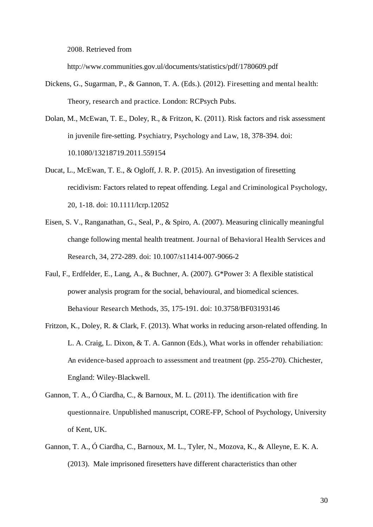2008. Retrieved from

http://www.communities.gov.ul/documents/statistics/pdf/1780609.pdf

- Dickens, G., Sugarman, P., & Gannon, T. A. (Eds.). (2012). Firesetting and mental health: Theory, research and practice. London: RCPsych Pubs.
- Dolan, M., McEwan, T. E., Doley, R., & Fritzon, K. (2011). Risk factors and risk assessment in juvenile fire-setting. Psychiatry, Psychology and Law, 18, 378-394. doi: 10.1080/13218719.2011.559154
- Ducat, L., McEwan, T. E., & Ogloff, J. R. P. (2015). An investigation of firesetting recidivism: Factors related to repeat offending. Legal and Criminological Psychology, 20, 1-18. doi: 10.1111/lcrp.12052
- Eisen, S. V., Ranganathan, G., Seal, P., & Spiro, A. (2007). Measuring clinically meaningful change following mental health treatment. Journal of Behavioral Health Services and Research, 34, 272-289. doi: 10.1007/s11414-007-9066-2
- Faul, F., Erdfelder, E., Lang, A., & Buchner, A. (2007). G\*Power 3: A flexible statistical power analysis program for the social, behavioural, and biomedical sciences. Behaviour Research Methods, 35, 175-191. doi: 10.3758/BF03193146
- Fritzon, K., Doley, R. & Clark, F. (2013). What works in reducing arson-related offending. In L. A. Craig, L. Dixon, & T. A. Gannon (Eds.), What works in offender rehabiliation: An evidence-based approach to assessment and treatment (pp. 255-270). Chichester, England: Wiley-Blackwell.
- Gannon, T. A., Ó Ciardha, C., & Barnoux, M. L. (2011). The identification with fire questionnaire. Unpublished manuscript, CORE-FP, School of Psychology, University of Kent, UK.
- Gannon, T. A., Ó Ciardha, C., Barnoux, M. L., Tyler, N., Mozova, K., & Alleyne, E. K. A. (2013). Male imprisoned firesetters have different characteristics than other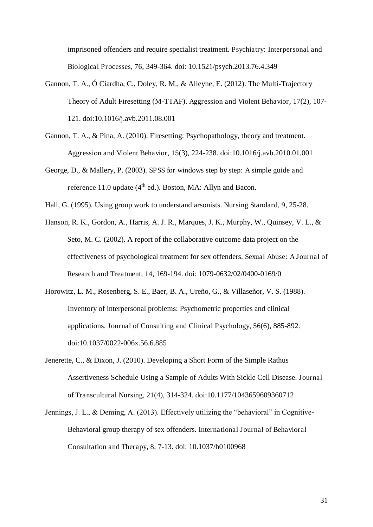imprisoned offenders and require specialist treatment. Psychiatry: Interpersonal and Biological Processes, 76, 349-364. doi: 10.1521/psych.2013.76.4.349

- Gannon, T. A., Ó Ciardha, C., Doley, R. M., & Alleyne, E. (2012). The Multi-Trajectory Theory of Adult Firesetting (M-TTAF). Aggression and Violent Behavior, 17(2), 107- 121. doi:10.1016/j.avb.2011.08.001
- Gannon, T. A., & Pina, A. (2010). Firesetting: Psychopathology, theory and treatment. Aggression and Violent Behavior, 15(3), 224-238. doi:10.1016/j.avb.2010.01.001
- George, D., & Mallery, P. (2003). SPSS for windows step by step: A simple guide and reference 11.0 update  $(4<sup>th</sup>$  ed.). Boston, MA: Allyn and Bacon.
- Hall, G. (1995). Using group work to understand arsonists. Nursing Standard, 9, 25-28.
- Hanson, R. K., Gordon, A., Harris, A. J. R., Marques, J. K., Murphy, W., Quinsey, V. L., & Seto, M. C. (2002). A report of the collaborative outcome data project on the effectiveness of psychological treatment for sex offenders. Sexual Abuse: A Journal of Research and Treatment, 14, 169-194. doi: 1079-0632/02/0400-0169/0
- Horowitz, L. M., Rosenberg, S. E., Baer, B. A., Ureño, G., & Villaseñor, V. S. (1988). Inventory of interpersonal problems: Psychometric properties and clinical applications. Journal of Consulting and Clinical Psychology, 56(6), 885-892. doi:10.1037/0022-006x.56.6.885
- Jenerette, C., & Dixon, J. (2010). Developing a Short Form of the Simple Rathus Assertiveness Schedule Using a Sample of Adults With Sickle Cell Disease. Journal of Transcultural Nursing, 21(4), 314-324. doi:10.1177/1043659609360712
- Jennings, J. L., & Deming, A. (2013). Effectively utilizing the "behavioral" in Cognitive-Behavioral group therapy of sex offenders. International Journal of Behavioral Consultation and Therapy, 8, 7-13. doi: 10.1037/h0100968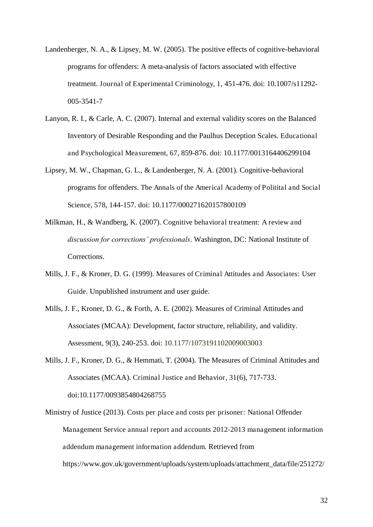- Landenberger, N. A., & Lipsey, M. W. (2005). The positive effects of cognitive-behavioral programs for offenders: A meta-analysis of factors associated with effective treatment. Journal of Experimental Criminology, 1, 451-476. doi: 10.1007/s11292- 005-3541-7
- Lanyon, R. I., & Carle, A. C. (2007). Internal and external validity scores on the Balanced Inventory of Desirable Responding and the Paulhus Deception Scales. Educational and Psychological Measurement, 67, 859-876. doi: 10.1177/0013164406299104
- Lipsey, M. W., Chapman, G. L., & Landenberger, N. A. (2001). Cognitive-behavioral programs for offenders. The Annals of the Americal Academy of Politital and Social Science, 578, 144-157. doi: 10.1177/000271620157800109
- Milkman, H., & Wandberg, K. (2007). Cognitive behavioral treatment: A review and *discussion for corrections' professionals*. Washington, DC: National Institute of Corrections.
- Mills, J. F., & Kroner, D. G. (1999). Measures of Criminal Attitudes and Associates: User Guide. Unpublished instrument and user guide.
- Mills, J. F., Kroner, D. G., & Forth, A. E. (2002). Measures of Criminal Attitudes and Associates (MCAA): Development, factor structure, reliability, and validity. Assessment, 9(3), 240-253. doi: 10.1177/1073191102009003003
- Mills, J. F., Kroner, D. G., & Hemmati, T. (2004). The Measures of Criminal Attitudes and Associates (MCAA). Criminal Justice and Behavior, 31(6), 717-733. doi:10.1177/0093854804268755
- Ministry of Justice (2013). Costs per place and costs per prisoner: National Offender Management Service annual report and accounts 2012-2013 management information addendum management information addendum. Retrieved from https://www.gov.uk/government/uploads/system/uploads/attachment\_data/file/251272/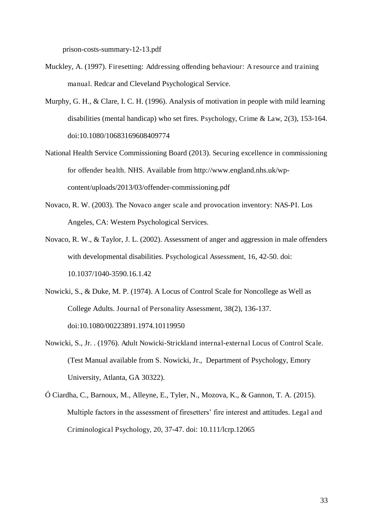prison-costs-summary-12-13.pdf

- Muckley, A. (1997). Firesetting: Addressing offending behaviour: A resource and training manual. Redcar and Cleveland Psychological Service.
- Murphy, G. H., & Clare, I. C. H. (1996). Analysis of motivation in people with mild learning disabilities (mental handicap) who set fires. Psychology, Crime & Law, 2(3), 153-164. doi:10.1080/10683169608409774
- National Health Service Commissioning Board (2013). Securing excellence in commissioning for offender health. NHS. Available from http://www.england.nhs.uk/wpcontent/uploads/2013/03/offender-commissioning.pdf
- Novaco, R. W. (2003). The Novaco anger scale and provocation inventory: NAS-PI. Los Angeles, CA: Western Psychological Services.
- Novaco, R. W., & Taylor, J. L. (2002). Assessment of anger and aggression in male offenders with developmental disabilities. Psychological Assessment, 16, 42-50. doi: 10.1037/1040-3590.16.1.42
- Nowicki, S., & Duke, M. P. (1974). A Locus of Control Scale for Noncollege as Well as College Adults. Journal of Personality Assessment, 38(2), 136-137. doi:10.1080/00223891.1974.10119950
- Nowicki, S., Jr. . (1976). Adult Nowicki-Strickland internal-external Locus of Control Scale. (Test Manual available from S. Nowicki, Jr., Department of Psychology, Emory University, Atlanta, GA 30322).
- Ó Ciardha, C., Barnoux, M., Alleyne, E., Tyler, N., Mozova, K., & Gannon, T. A. (2015). Multiple factors in the assessment of firesetters' fire interest and attitudes. Legal and Criminological Psychology, 20, 37-47. doi: 10.111/lcrp.12065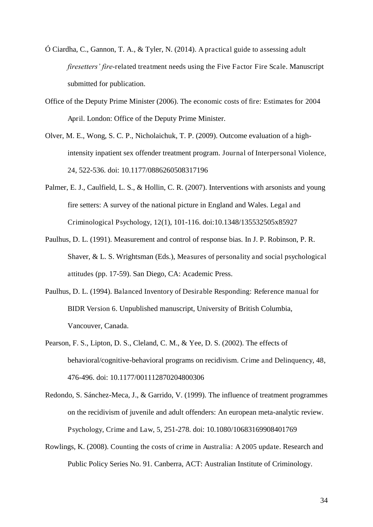- Ó Ciardha, C., Gannon, T. A., & Tyler, N. (2014). A practical guide to assessing adult *firesetters' fire*-related treatment needs using the Five Factor Fire Scale. Manuscript submitted for publication.
- Office of the Deputy Prime Minister (2006). The economic costs of fire: Estimates for 2004 April. London: Office of the Deputy Prime Minister.
- Olver, M. E., Wong, S. C. P., Nicholaichuk, T. P. (2009). Outcome evaluation of a highintensity inpatient sex offender treatment program. Journal of Interpersonal Violence, 24, 522-536. doi: 10.1177/0886260508317196
- Palmer, E. J., Caulfield, L. S., & Hollin, C. R. (2007). Interventions with arsonists and young fire setters: A survey of the national picture in England and Wales. Legal and Criminological Psychology, 12(1), 101-116. doi:10.1348/135532505x85927
- Paulhus, D. L. (1991). Measurement and control of response bias. In J. P. Robinson, P. R. Shaver, & L. S. Wrightsman (Eds.), Measures of personality and social psychological attitudes (pp. 17-59). San Diego, CA: Academic Press.
- Paulhus, D. L. (1994). Balanced Inventory of Desirable Responding: Reference manual for BIDR Version 6. Unpublished manuscript, University of British Columbia, Vancouver, Canada.
- Pearson, F. S., Lipton, D. S., Cleland, C. M., & Yee, D. S. (2002). The effects of behavioral/cognitive-behavioral programs on recidivism. Crime and Delinquency, 48, 476-496. doi: 10.1177/001112870204800306
- Redondo, S. Sánchez-Meca, J., & Garrido, V. (1999). The influence of treatment programmes on the recidivism of juvenile and adult offenders: An european meta-analytic review. Psychology, Crime and Law, 5, 251-278. doi: 10.1080/10683169908401769
- Rowlings, K. (2008). Counting the costs of crime in Australia: A 2005 update. Research and Public Policy Series No. 91. Canberra, ACT: Australian Institute of Criminology.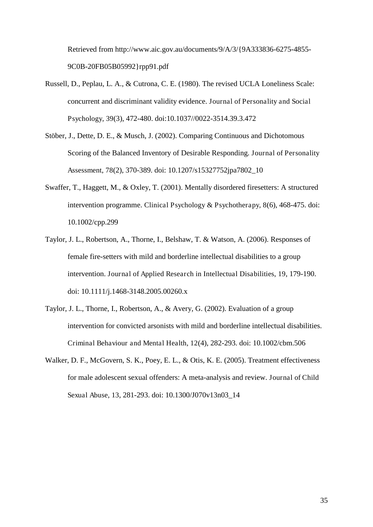Retrieved from http://www.aic.gov.au/documents/9/A/3/{9A333836-6275-4855- 9C0B-20FB05B05992}rpp91.pdf

- Russell, D., Peplau, L. A., & Cutrona, C. E. (1980). The revised UCLA Loneliness Scale: concurrent and discriminant validity evidence. Journal of Personality and Social Psychology, 39(3), 472-480. doi:10.1037//0022-3514.39.3.472
- Stöber, J., Dette, D. E., & Musch, J. (2002). Comparing Continuous and Dichotomous Scoring of the Balanced Inventory of Desirable Responding. Journal of Personality Assessment, 78(2), 370-389. doi: 10.1207/s15327752jpa7802\_10
- Swaffer, T., Haggett, M., & Oxley, T. (2001). Mentally disordered firesetters: A structured intervention programme. Clinical Psychology & Psychotherapy, 8(6), 468-475. doi: 10.1002/cpp.299
- Taylor, J. L., Robertson, A., Thorne, I., Belshaw, T. & Watson, A. (2006). Responses of female fire-setters with mild and borderline intellectual disabilities to a group intervention. Journal of Applied Research in Intellectual Disabilities, 19, 179-190. doi: 10.1111/j.1468-3148.2005.00260.x
- Taylor, J. L., Thorne, I., Robertson, A., & Avery, G. (2002). Evaluation of a group intervention for convicted arsonists with mild and borderline intellectual disabilities. Criminal Behaviour and Mental Health, 12(4), 282-293. doi: 10.1002/cbm.506
- Walker, D. F., McGovern, S. K., Poey, E. L., & Otis, K. E. (2005). Treatment effectiveness for male adolescent sexual offenders: A meta-analysis and review. Journal of Child Sexual Abuse, 13, 281-293. doi: 10.1300/J070v13n03\_14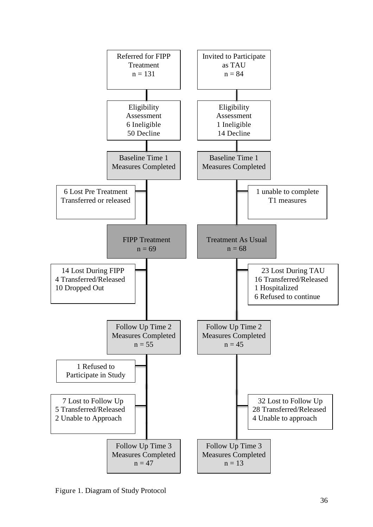

Figure 1. Diagram of Study Protocol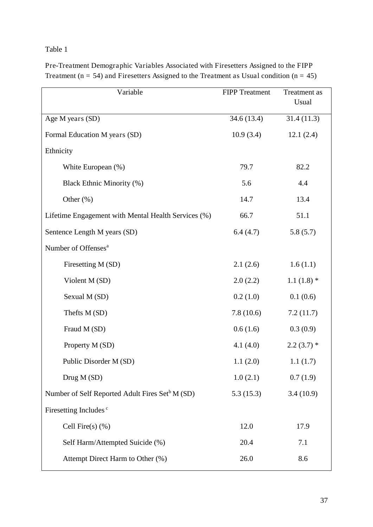# Table 1

| Variable                                                    | <b>FIPP Treatment</b> | Treatment as<br>Usual |  |
|-------------------------------------------------------------|-----------------------|-----------------------|--|
| Age M years (SD)                                            | 34.6 (13.4)           | 31.4(11.3)            |  |
| Formal Education M years (SD)                               | 10.9(3.4)             | 12.1(2.4)             |  |
| Ethnicity                                                   |                       |                       |  |
| White European (%)                                          | 79.7                  | 82.2                  |  |
| Black Ethnic Minority (%)                                   | 5.6                   | 4.4                   |  |
| Other (%)                                                   | 14.7                  | 13.4                  |  |
| Lifetime Engagement with Mental Health Services (%)         | 66.7                  | 51.1                  |  |
| Sentence Length M years (SD)                                | 6.4(4.7)              | 5.8(5.7)              |  |
| Number of Offenses <sup>a</sup>                             |                       |                       |  |
| Firesetting M (SD)                                          | 2.1(2.6)              | 1.6(1.1)              |  |
| Violent M (SD)                                              | 2.0(2.2)              | $1.1(1.8)$ *          |  |
| Sexual M (SD)                                               | 0.2(1.0)              | 0.1(0.6)              |  |
| Thefts M (SD)                                               | 7.8(10.6)             | 7.2(11.7)             |  |
| Fraud M (SD)                                                | 0.6(1.6)              | 0.3(0.9)              |  |
| Property M (SD)                                             | 4.1 $(4.0)$           | $2.2(3.7)$ *          |  |
| Public Disorder M (SD)                                      | 1.1(2.0)              | 1.1(1.7)              |  |
| Drug M (SD)                                                 | 1.0(2.1)              | 0.7(1.9)              |  |
| Number of Self Reported Adult Fires Set <sup>b</sup> M (SD) | 5.3(15.3)             | 3.4(10.9)             |  |
| Firesetting Includes <sup>c</sup>                           |                       |                       |  |
| Cell Fire $(s)$ $(\%)$                                      | 12.0                  | 17.9                  |  |
| Self Harm/Attempted Suicide (%)                             | 20.4                  | 7.1                   |  |
| Attempt Direct Harm to Other (%)                            | 26.0                  | 8.6                   |  |

Pre-Treatment Demographic Variables Associated with Firesetters Assigned to the FIPP Treatment ( $n = 54$ ) and Firesetters Assigned to the Treatment as Usual condition ( $n = 45$ )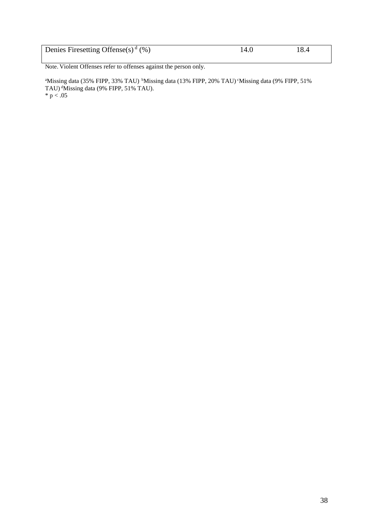| Denies Firesetting Offense(s) <sup>d</sup> (%) | 14.0 | 18.4 |
|------------------------------------------------|------|------|

Note. Violent Offenses refer to offenses against the person only.

<sup>a</sup>Missing data (35% FIPP, 33% TAU)<sup>b</sup>Missing data (13% FIPP, 20% TAU)<sup>c</sup>Missing data (9% FIPP, 51% TAU)<sup>d</sup>Missing data (9% FIPP, 51% TAU).  $^{\ast}$  p  $< .05$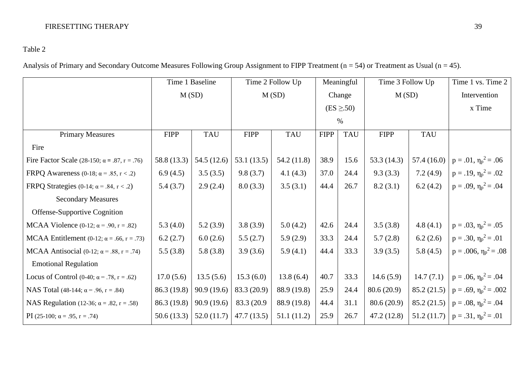# FIRESETTING THERAPY 39

# Table 2

Analysis of Primary and Secondary Outcome Measures Following Group Assignment to FIPP Treatment ( $n = 54$ ) or Treatment as Usual ( $n = 45$ ).

|                                                         | Time 1 Baseline<br>M(SD) |             | Time 2 Follow Up<br>M(SD) |             | Meaningful<br>Change    |            | Time 3 Follow Up<br>M(SD) |            | Time 1 vs. Time 2                              |
|---------------------------------------------------------|--------------------------|-------------|---------------------------|-------------|-------------------------|------------|---------------------------|------------|------------------------------------------------|
|                                                         |                          |             |                           |             |                         |            |                           |            | Intervention                                   |
|                                                         |                          |             |                           |             | $(ES \geq .50)$<br>$\%$ |            |                           |            | x Time                                         |
|                                                         |                          |             |                           |             |                         |            |                           |            |                                                |
| <b>Primary Measures</b>                                 | <b>FIPP</b>              | <b>TAU</b>  | <b>FIPP</b>               | <b>TAU</b>  | <b>FIPP</b>             | <b>TAU</b> | <b>FIPP</b>               | <b>TAU</b> |                                                |
| Fire                                                    |                          |             |                           |             |                         |            |                           |            |                                                |
| Fire Factor Scale (28-150; $\alpha = .87$ , $r = .76$ ) | 58.8 (13.3)              | 54.5 (12.6) | 53.1 $(13.5)$             | 54.2 (11.8) | 38.9                    | 15.6       | 53.3 $(14.3)$             | 57.4(16.0) | $p = .01$ , $\eta_p^2 = .06$                   |
| FRPQ Awareness (0-18; $\alpha$ = .85, r < .2)           | 6.9(4.5)                 | 3.5(3.5)    | 9.8(3.7)                  | 4.1(4.3)    | 37.0                    | 24.4       | 9.3(3.3)                  | 7.2(4.9)   | $p = .19$ , $\eta_p^2 = .02$                   |
| FRPQ Strategies (0-14; $\alpha$ = .84, r < .2)          | 5.4(3.7)                 | 2.9(2.4)    | 8.0(3.3)                  | 3.5(3.1)    | 44.4                    | 26.7       | 8.2(3.1)                  | 6.2(4.2)   | $p = .09$ , $\eta_p^2 = .04$                   |
| <b>Secondary Measures</b>                               |                          |             |                           |             |                         |            |                           |            |                                                |
| Offense-Supportive Cognition                            |                          |             |                           |             |                         |            |                           |            |                                                |
| MCAA Violence $(0-12; \alpha = .90, r = .82)$           | 5.3(4.0)                 | 5.2(3.9)    | 3.8(3.9)                  | 5.0(4.2)    | 42.6                    | 24.4       | 3.5(3.8)                  | 4.8(4.1)   | $p = .03$ , $\eta_p^2 = .05$                   |
| MCAA Entitlement (0-12; $\alpha$ = .66, r = .73)        | 6.2(2.7)                 | 6.0(2.6)    | 5.5(2.7)                  | 5.9(2.9)    | 33.3                    | 24.4       | 5.7(2.8)                  | 6.2(2.6)   | $p = .30, \eta_p^2 = .01$                      |
| MCAA Antisocial (0-12; $\alpha$ = .88, r = .74)         | 5.5(3.8)                 | 5.8(3.8)    | 3.9(3.6)                  | 5.9(4.1)    | 44.4                    | 33.3       | 3.9(3.5)                  | 5.8(4.5)   | $p = .006$ , $\eta_p^2 = .08$                  |
| <b>Emotional Regulation</b>                             |                          |             |                           |             |                         |            |                           |            |                                                |
| Locus of Control (0-40; $\alpha$ = .78, r = .62)        | 17.0(5.6)                | 13.5(5.6)   | 15.3(6.0)                 | 13.8(6.4)   | 40.7                    | 33.3       | 14.6(5.9)                 | 14.7(7.1)  | $p = .06, \eta_p^2 = .04$                      |
| NAS Total (48-144; $\alpha$ = .96, r = .84)             | 86.3 (19.8)              | 90.9(19.6)  | 83.3 (20.9)               | 88.9 (19.8) | 25.9                    | 24.4       | 80.6(20.9)                |            | 85.2 (21.5) $\vert$ p = .69, $\eta_p^2$ = .002 |
| NAS Regulation (12-36; $\alpha = .82$ , $r = .58$ )     | 86.3 (19.8)              | 90.9(19.6)  | 83.3 (20.9)               | 88.9 (19.8) | 44.4                    | 31.1       | 80.6(20.9)                |            | 85.2 (21.5) $p = .08$ , $\eta_p^2 = .04$       |
| PI (25-100; $\alpha$ = .95, r = .74)                    | 50.6(13.3)               | 52.0(11.7)  | 47.7(13.5)                | 51.1(11.2)  | 25.9                    | 26.7       | 47.2(12.8)                |            | 51.2 (11.7) $\vert$ p = .31, $\eta_p^2$ = .01  |